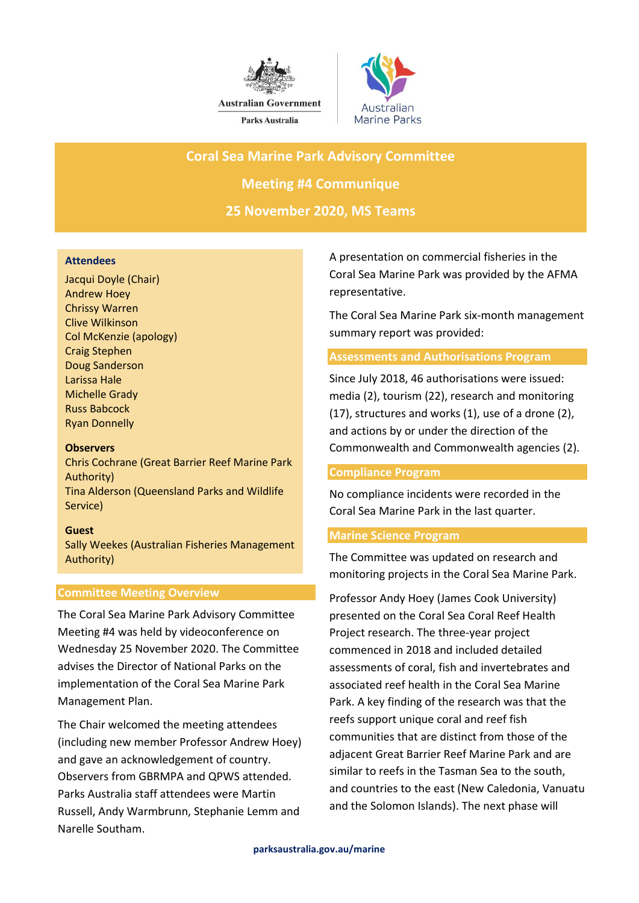



**Coral Sea Marine Park Advisory Committee**

**Meeting #4 Communique**

**25 November 2020, MS Teams**

## **Attendees**

Jacqui Doyle (Chair) Andrew Hoey Chrissy Warren Clive Wilkinson Col McKenzie (apology) Craig Stephen Doug Sanderson Larissa Hale Michelle Grady Russ Babcock Ryan Donnelly

## **Observers**

Chris Cochrane (Great Barrier Reef Marine Park Authority) Tina Alderson (Queensland Parks and Wildlife Service)

## **Guest**

Sally Weekes (Australian Fisheries Management Authority)

## **Committee Meeting Overview**

The Coral Sea Marine Park Advisory Committee Meeting #4 was held by videoconference on Wednesday 25 November 2020. The Committee advises the Director of National Parks on the implementation of the Coral Sea Marine Park Management Plan.

The Chair welcomed the meeting attendees (including new member Professor Andrew Hoey) and gave an acknowledgement of country. Observers from GBRMPA and QPWS attended. Parks Australia staff attendees were Martin Russell, Andy Warmbrunn, Stephanie Lemm and Narelle Southam.

A presentation on commercial fisheries in the Coral Sea Marine Park was provided by the AFMA representative.

The Coral Sea Marine Park six-month management summary report was provided:

## **Assessments and Authorisations Program**

Since July 2018, 46 authorisations were issued: media (2), tourism (22), research and monitoring (17), structures and works (1), use of a drone (2), and actions by or under the direction of the Commonwealth and Commonwealth agencies (2).

## **Compliance Program**

No compliance incidents were recorded in the Coral Sea Marine Park in the last quarter.

## **Marine Science Program**

The Committee was updated on research and monitoring projects in the Coral Sea Marine Park.

Professor Andy Hoey (James Cook University) presented on the Coral Sea Coral Reef Health Project research. The three-year project commenced in 2018 and included detailed assessments of coral, fish and invertebrates and associated reef health in the Coral Sea Marine Park. A key finding of the research was that the reefs support unique coral and reef fish communities that are distinct from those of the adjacent Great Barrier Reef Marine Park and are similar to reefs in the Tasman Sea to the south, and countries to the east (New Caledonia, Vanuatu and the Solomon Islands). The next phase will